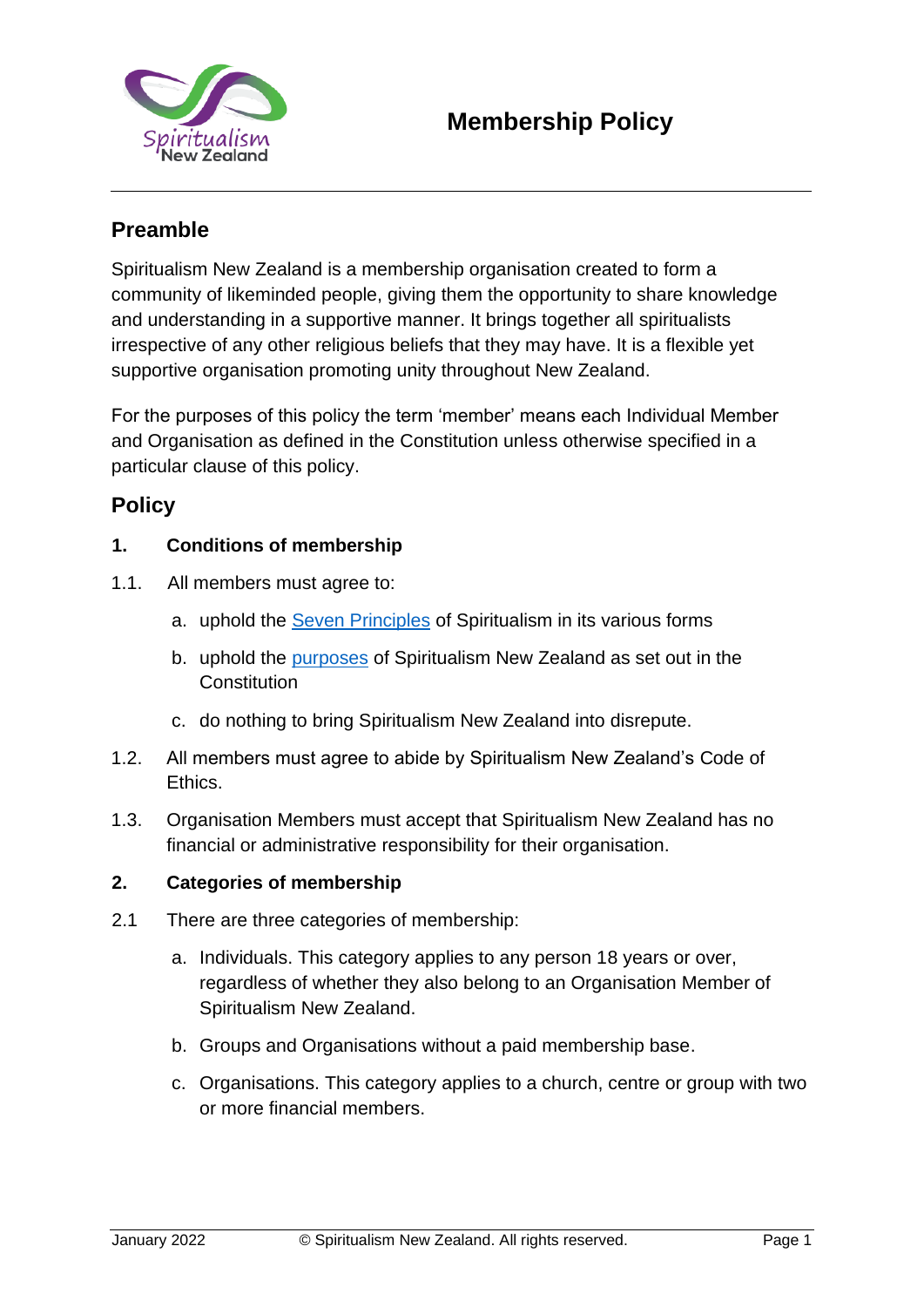

# **Preamble**

Spiritualism New Zealand is a membership organisation created to form a community of likeminded people, giving them the opportunity to share knowledge and understanding in a supportive manner. It brings together all spiritualists irrespective of any other religious beliefs that they may have. It is a flexible yet supportive organisation promoting unity throughout New Zealand.

For the purposes of this policy the term 'member' means each Individual Member and Organisation as defined in the Constitution unless otherwise specified in a particular clause of this policy.

## **Policy**

## **1. Conditions of membership**

- 1.1. All members must agree to:
	- a. uphold the [Seven Principles](https://spiritualism.org.nz/7-principles/) of Spiritualism in its various forms
	- b. uphold the [purposes](https://spiritualism.org.nz/wp-content/uploads/2017/07/Constitution.pdf) of Spiritualism New Zealand as set out in the **Constitution**
	- c. do nothing to bring Spiritualism New Zealand into disrepute.
- 1.2. All members must agree to abide by Spiritualism New Zealand's [Code of](https://spiritualism.org.nz/policies/)  [Ethics.](https://spiritualism.org.nz/policies/)
- 1.3. Organisation Members must accept that Spiritualism New Zealand has no financial or administrative responsibility for their organisation.

## **2. Categories of membership**

- 2.1 There are three categories of membership:
	- a. Individuals. This category applies to any person 18 years or over, regardless of whether they also belong to an Organisation Member of Spiritualism New Zealand.
	- b. Groups and Organisations without a paid membership base.
	- c. Organisations. This category applies to a church, centre or group with two or more financial members.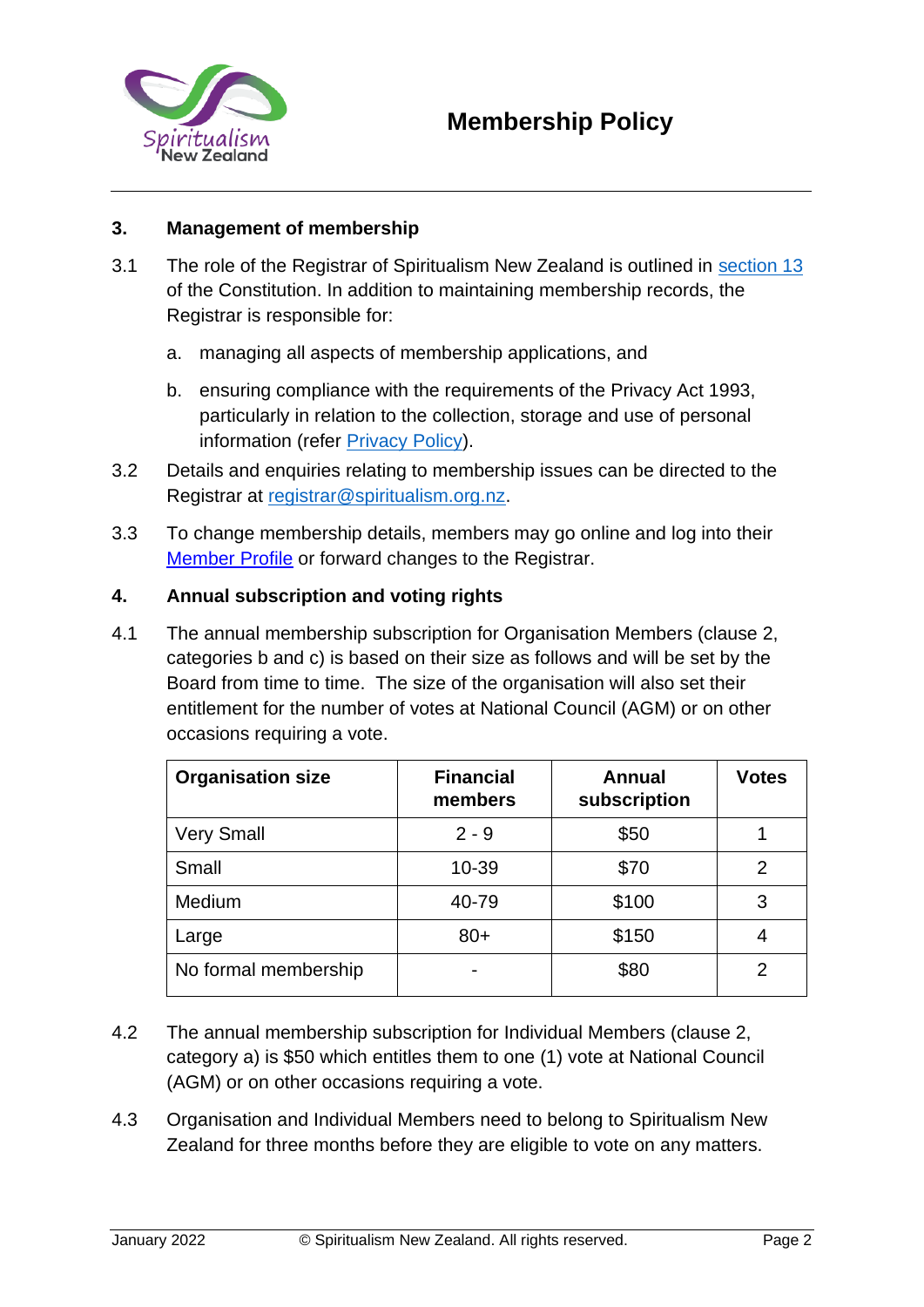

## **3. Management of membership**

- 3.1 The role of the Registrar of Spiritualism New Zealand is outlined in [section 13](https://spiritualism.org.nz/constitution/) of the Constitution. In addition to maintaining membership records, the Registrar is responsible for:
	- a. managing all aspects of membership applications, and
	- b. ensuring compliance with the requirements of the Privacy Act 1993, particularly in relation to the collection, storage and use of personal information (refer [Privacy Policy\).](https://spiritualism.org.nz/policies-2/)
- 3.2 Details and enquiries relating to membership issues can be directed to the Registrar at registrar@spiritualism.org.nz.
- 3.3 To change membership details, members may go online and log into thei[r](https://www.aps.org/memb-sec/profile/Profile.cfm) [Member Profile](https://www.aps.org/memb-sec/profile/Profile.cfm) [o](https://www.aps.org/memb-sec/profile/Profile.cfm)r forward changes to the Registrar.

## **4. Annual subscription and voting rights**

4.1 The annual membership subscription for Organisation Members (clause 2, categories b and c) is based on their size as follows and will be set by the Board from time to time. The size of the organisation will also set their entitlement for the number of votes at National Council (AGM) or on other occasions requiring a vote.

| <b>Organisation size</b> | <b>Financial</b><br>members | Annual<br>subscription | <b>Votes</b> |
|--------------------------|-----------------------------|------------------------|--------------|
| <b>Very Small</b>        | $2 - 9$                     | \$50                   |              |
| Small                    | $10 - 39$                   | \$70                   | 2            |
| Medium                   | 40-79                       | \$100                  | 3            |
| Large                    | $80+$                       | \$150                  |              |
| No formal membership     |                             | \$80                   | 2            |

- 4.2 The annual membership subscription for Individual Members (clause 2, category a) is \$50 which entitles them to one (1) vote at National Council (AGM) or on other occasions requiring a vote.
- 4.3 Organisation and Individual Members need to belong to Spiritualism New Zealand for three months before they are eligible to vote on any matters.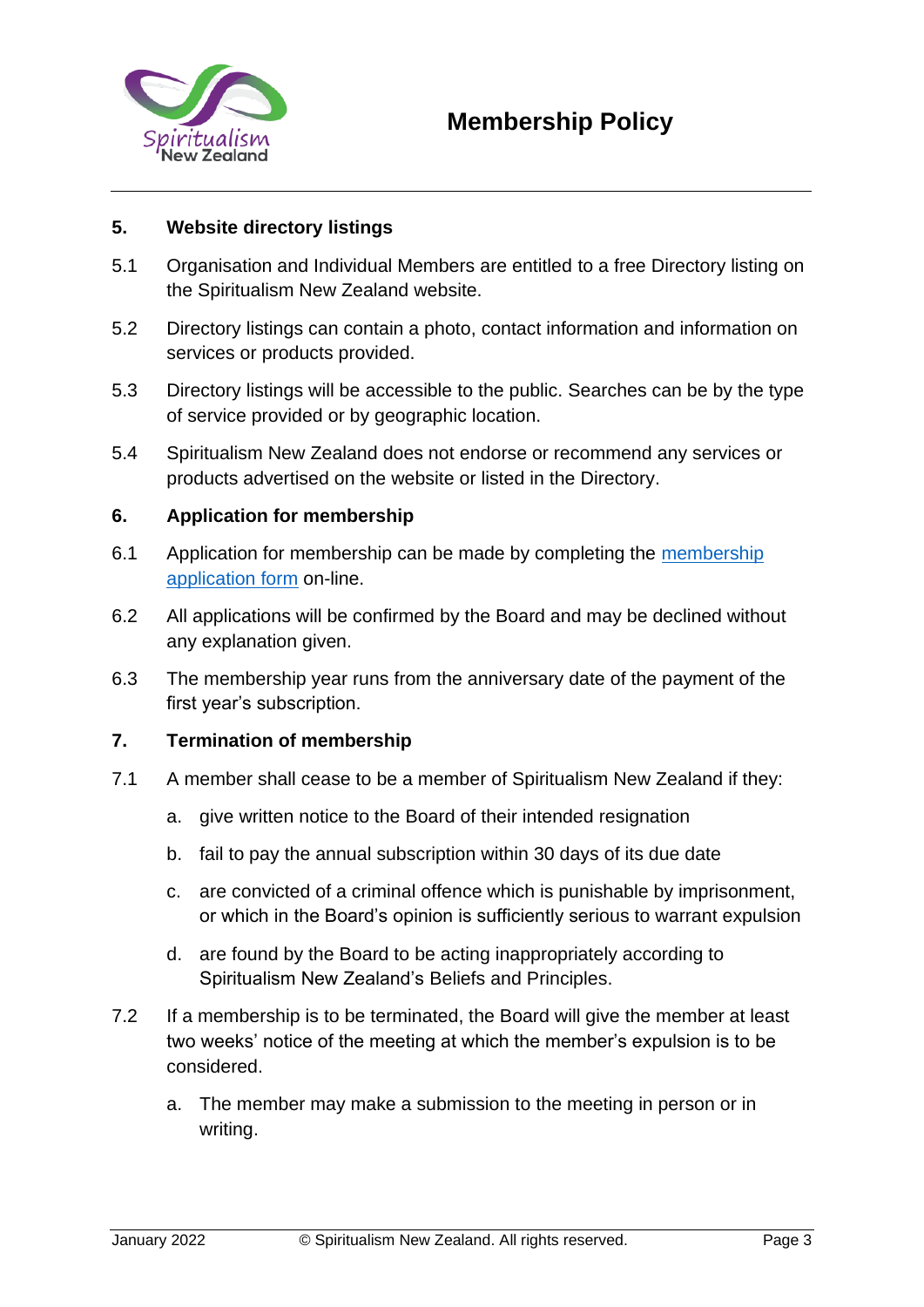

## **5. Website directory listings**

- 5.1 Organisation and Individual Members are entitled to a free Directory listing on the Spiritualism New Zealand website.
- 5.2 Directory listings can contain a photo, contact information and information on services or products provided.
- 5.3 Directory listings will be accessible to the public. Searches can be by the type of service provided or by geographic location.
- 5.4 Spiritualism New Zealand does not endorse or recommend any services or products advertised on the website or listed in the Directory.

## **6. Application for membership**

- 6.1 Application for [membership](https://spiritualism.org.nz/membership-application/?listing_type=gd_place) can be made by completing the membership [application form](https://spiritualism.org.nz/membership-application/?listing_type=gd_place) [o](https://spiritualism.org.nz/membership-application/?listing_type=gd_place)n-line.
- 6.2 All applications will be confirmed by the Board and may be declined without any explanation given.
- 6.3 The membership year runs from the anniversary date of the payment of the first year's subscription.

## **7. Termination of membership**

- 7.1 A member shall cease to be a member of Spiritualism New Zealand if they:
	- a. give written notice to the Board of their intended resignation
	- b. fail to pay the annual subscription within 30 days of its due date
	- c. are convicted of a criminal offence which is punishable by imprisonment, or which in the Board's opinion is sufficiently serious to warrant expulsion
	- d. are found by the Board to be acting inappropriately according to Spiritualism New Zealand's [Beliefs and Principles.](https://spiritualism.org.nz/about-us/)
- 7.2 If a membership is to be terminated, the Board will give the member at least two weeks' notice of the meeting at which the member's expulsion is to be considered.
	- a. The member may make a submission to the meeting in person or in writing.